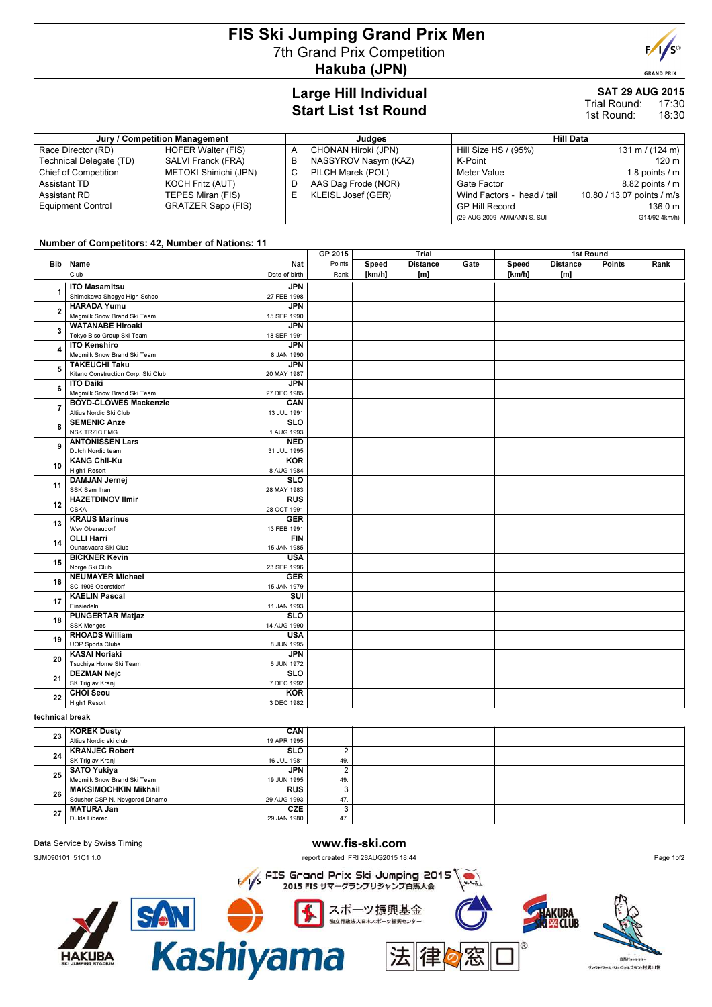# FIS Ski Jumping Grand Prix Men 7th Grand Prix Competition Hakuba (JPN)



**GRAND PRIX** 

## Large Hill Individual Start List 1st Round

#### SAT 29 AUG 2015 17:30 Trial Round:

18:30 1st Round:

| Jury / Competition Management |                           |   | Judges               |                            | Hill Data                  |  |  |  |
|-------------------------------|---------------------------|---|----------------------|----------------------------|----------------------------|--|--|--|
| Race Director (RD)            | <b>HOFER Walter (FIS)</b> |   | CHONAN Hiroki (JPN)  | Hill Size HS / (95%)       | $131 \text{ m}$ / (124 m)  |  |  |  |
| Technical Delegate (TD)       | SALVI Franck (FRA)        | в | NASSYROV Nasym (KAZ) | K-Point                    | 120 m                      |  |  |  |
| Chief of Competition          | METOKI Shinichi (JPN)     |   | PILCH Marek (POL)    | Meter Value                | 1.8 points $/m$            |  |  |  |
| Assistant TD                  | KOCH Fritz (AUT)          |   | AAS Dag Frode (NOR)  | Gate Factor                | 8.82 points / m            |  |  |  |
| Assistant RD                  | TEPES Miran (FIS)         |   | KLEISL Josef (GER)   | Wind Factors - head / tail | 10.80 / 13.07 points / m/s |  |  |  |
| <b>Equipment Control</b>      | <b>GRATZER Sepp (FIS)</b> |   |                      | <b>GP Hill Record</b>      | 136.0 m                    |  |  |  |
|                               |                           |   |                      | (29 AUG 2009 AMMANN S. SUI | G14/92.4km/h)              |  |  |  |

### Number of Competitors: 42, Number of Nations: 11

|                         |                                    |                         | GP 2015 | Trial  |                 | 1st Round |        |                 |        |      |
|-------------------------|------------------------------------|-------------------------|---------|--------|-----------------|-----------|--------|-----------------|--------|------|
|                         | Bib Name                           | Nat                     | Points  | Speed  | <b>Distance</b> | Gate      | Speed  | <b>Distance</b> | Points | Rank |
|                         | Club                               | Date of birth           | Rank    | [km/h] | [m]             |           | [km/h] | [m]             |        |      |
|                         | <b>ITO Masamitsu</b>               | <b>JPN</b>              |         |        |                 |           |        |                 |        |      |
| 1                       | Shimokawa Shogyo High School       | 27 FEB 1998             |         |        |                 |           |        |                 |        |      |
| $\overline{\mathbf{2}}$ | <b>HARADA Yumu</b>                 | <b>JPN</b>              |         |        |                 |           |        |                 |        |      |
|                         | Megmilk Snow Brand Ski Team        | 15 SEP 1990             |         |        |                 |           |        |                 |        |      |
|                         | <b>WATANABE Hiroaki</b>            | <b>JPN</b>              |         |        |                 |           |        |                 |        |      |
| 3                       | Tokyo Biso Group Ski Team          | 18 SEP 1991             |         |        |                 |           |        |                 |        |      |
|                         | <b>ITO Kenshiro</b>                | <b>JPN</b>              |         |        |                 |           |        |                 |        |      |
| 4                       | Megmilk Snow Brand Ski Team        | 8 JAN 1990              |         |        |                 |           |        |                 |        |      |
|                         | <b>TAKEUCHI Taku</b>               | <b>JPN</b>              |         |        |                 |           |        |                 |        |      |
| 5                       | Kitano Construction Corp. Ski Club | 20 MAY 1987             |         |        |                 |           |        |                 |        |      |
|                         | <b>ITO Daiki</b>                   | <b>JPN</b>              |         |        |                 |           |        |                 |        |      |
| 6                       | Megmilk Snow Brand Ski Team        | 27 DEC 1985             |         |        |                 |           |        |                 |        |      |
|                         | <b>BOYD-CLOWES Mackenzie</b>       | CAN                     |         |        |                 |           |        |                 |        |      |
| $\overline{7}$          | Altius Nordic Ski Club             | 13 JUL 1991             |         |        |                 |           |        |                 |        |      |
|                         | <b>SEMENIC Anze</b>                | $\overline{\text{SLO}}$ |         |        |                 |           |        |                 |        |      |
| 8                       | <b>NSK TRZIC FMG</b>               | 1 AUG 1993              |         |        |                 |           |        |                 |        |      |
|                         | <b>ANTONISSEN Lars</b>             | <b>NED</b>              |         |        |                 |           |        |                 |        |      |
| 9                       | Dutch Nordic team                  | 31 JUL 1995             |         |        |                 |           |        |                 |        |      |
|                         | <b>KANG Chil-Ku</b>                | KOR                     |         |        |                 |           |        |                 |        |      |
| 10                      | High1 Resort                       | 8 AUG 1984              |         |        |                 |           |        |                 |        |      |
|                         | <b>DAMJAN Jernej</b>               | <b>SLO</b>              |         |        |                 |           |        |                 |        |      |
| 11                      | SSK Sam Ihan                       | 28 MAY 1983             |         |        |                 |           |        |                 |        |      |
| 12                      | <b>HAZETDINOV Ilmir</b>            | <b>RUS</b>              |         |        |                 |           |        |                 |        |      |
|                         | <b>CSKA</b>                        | 28 OCT 1991             |         |        |                 |           |        |                 |        |      |
| 13                      | <b>KRAUS Marinus</b>               | <b>GER</b>              |         |        |                 |           |        |                 |        |      |
|                         | Wsv Oberaudorf                     | 13 FEB 1991             |         |        |                 |           |        |                 |        |      |
| 14                      | <b>OLLI Harri</b>                  | <b>FIN</b>              |         |        |                 |           |        |                 |        |      |
|                         | Ounasvaara Ski Club                | 15 JAN 1985             |         |        |                 |           |        |                 |        |      |
| 15                      | <b>BICKNER Kevin</b>               | <b>USA</b>              |         |        |                 |           |        |                 |        |      |
|                         | Norge Ski Club                     | 23 SEP 1996             |         |        |                 |           |        |                 |        |      |
| 16                      | <b>NEUMAYER Michael</b>            | <b>GER</b>              |         |        |                 |           |        |                 |        |      |
|                         | SC 1906 Oberstdorf                 | 15 JAN 1979             |         |        |                 |           |        |                 |        |      |
| 17                      | <b>KAELIN Pascal</b>               | $\overline{\text{SUI}}$ |         |        |                 |           |        |                 |        |      |
|                         | Einsiedeln                         | 11 JAN 1993             |         |        |                 |           |        |                 |        |      |
| 18                      | <b>PUNGERTAR Matjaz</b>            | $\overline{\text{SLO}}$ |         |        |                 |           |        |                 |        |      |
|                         | <b>SSK Menges</b>                  | 14 AUG 1990             |         |        |                 |           |        |                 |        |      |
| 19                      | <b>RHOADS William</b>              | <b>USA</b>              |         |        |                 |           |        |                 |        |      |
|                         | <b>UOP Sports Clubs</b>            | 8 JUN 1995              |         |        |                 |           |        |                 |        |      |
| 20                      | <b>KASAI Noriaki</b>               | <b>JPN</b>              |         |        |                 |           |        |                 |        |      |
|                         | Tsuchiya Home Ski Team             | 6 JUN 1972              |         |        |                 |           |        |                 |        |      |
| 21                      | <b>DEZMAN Nejc</b>                 | <b>SLO</b>              |         |        |                 |           |        |                 |        |      |
|                         | SK Triglav Kranj                   | 7 DEC 1992              |         |        |                 |           |        |                 |        |      |
| 22                      | <b>CHOI Seou</b>                   | <b>KOR</b>              |         |        |                 |           |        |                 |        |      |
|                         | High1 Resort                       | 3 DEC 1982              |         |        |                 |           |        |                 |        |      |
|                         |                                    |                         |         |        |                 |           |        |                 |        |      |

#### technical break

| 23 | <b>KOREK Dusty</b>             | CAN         |     |  |
|----|--------------------------------|-------------|-----|--|
|    | Altius Nordic ski club         | 19 APR 1995 |     |  |
| 24 | <b>KRANJEC Robert</b>          | <b>SLO</b>  |     |  |
|    | SK Triglav Kranj               | 16 JUL 1981 | 49. |  |
| 25 | <b>SATO Yukiva</b>             | JPN         |     |  |
|    | Megmilk Snow Brand Ski Team    | 19 JUN 1995 | 49. |  |
| 26 | <b>MAKSIMOCHKIN Mikhail</b>    | <b>RUS</b>  |     |  |
|    | Sdushor CSP N. Novgorod Dinamo | 29 AUG 1993 | 47  |  |
| 27 | <b>MATURA Jan</b>              | <b>CZE</b>  |     |  |
|    | Dukla Liberec                  | 29 JAN 1980 | 47  |  |

### Data Service by Swiss Timing **www.fis-ski.com**

FRI 28AUG2015 18:44<br>FIS Grand Prix Ski Jumping 2015 2015 FIS サマーグランプリジャンプ白馬大会



**SAN O BRAN**<br>Kashiyama スポーツ振興基金 独立行政法人日本スポーツ振興センター





 $BRIt$ ヴィクトワール·シュヴァルブラン·村男川世

Page 1of2